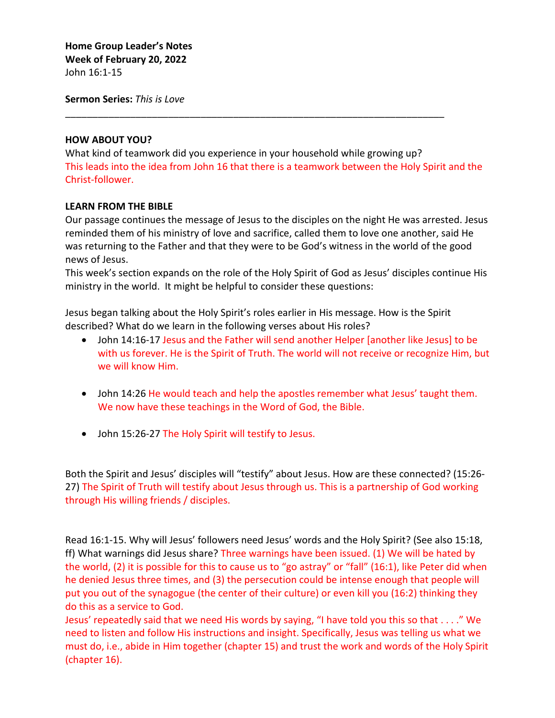**Home Group Leader's Notes Week of February 20, 2022** John 16:1-15

**Sermon Series:** *This is Love*

### **HOW ABOUT YOU?**

What kind of teamwork did you experience in your household while growing up? This leads into the idea from John 16 that there is a teamwork between the Holy Spirit and the Christ-follower.

\_\_\_\_\_\_\_\_\_\_\_\_\_\_\_\_\_\_\_\_\_\_\_\_\_\_\_\_\_\_\_\_\_\_\_\_\_\_\_\_\_\_\_\_\_\_\_\_\_\_\_\_\_\_\_\_\_\_\_\_\_\_\_\_\_\_\_\_\_\_

# **LEARN FROM THE BIBLE**

Our passage continues the message of Jesus to the disciples on the night He was arrested. Jesus reminded them of his ministry of love and sacrifice, called them to love one another, said He was returning to the Father and that they were to be God's witness in the world of the good news of Jesus.

This week's section expands on the role of the Holy Spirit of God as Jesus' disciples continue His ministry in the world. It might be helpful to consider these questions:

Jesus began talking about the Holy Spirit's roles earlier in His message. How is the Spirit described? What do we learn in the following verses about His roles?

- John 14:16-17 Jesus and the Father will send another Helper [another like Jesus] to be with us forever. He is the Spirit of Truth. The world will not receive or recognize Him, but we will know Him.
- John 14:26 He would teach and help the apostles remember what Jesus' taught them. We now have these teachings in the Word of God, the Bible.
- John 15:26-27 The Holy Spirit will testify to Jesus.

Both the Spirit and Jesus' disciples will "testify" about Jesus. How are these connected? (15:26- 27) The Spirit of Truth will testify about Jesus through us. This is a partnership of God working through His willing friends / disciples.

Read 16:1-15. Why will Jesus' followers need Jesus' words and the Holy Spirit? (See also 15:18, ff) What warnings did Jesus share? Three warnings have been issued. (1) We will be hated by the world, (2) it is possible for this to cause us to "go astray" or "fall" (16:1), like Peter did when he denied Jesus three times, and (3) the persecution could be intense enough that people will put you out of the synagogue (the center of their culture) or even kill you (16:2) thinking they do this as a service to God.

Jesus' repeatedly said that we need His words by saying, "I have told you this so that . . . ." We need to listen and follow His instructions and insight. Specifically, Jesus was telling us what we must do, i.e., abide in Him together (chapter 15) and trust the work and words of the Holy Spirit (chapter 16).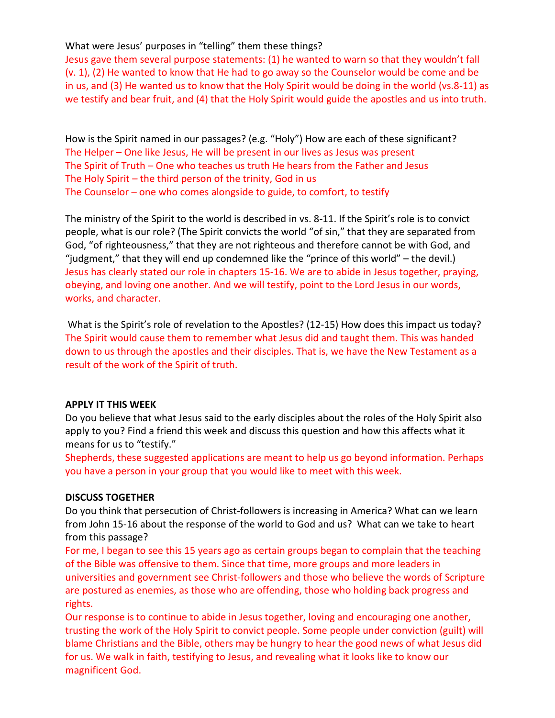# What were Jesus' purposes in "telling" them these things?

Jesus gave them several purpose statements: (1) he wanted to warn so that they wouldn't fall (v. 1), (2) He wanted to know that He had to go away so the Counselor would be come and be in us, and (3) He wanted us to know that the Holy Spirit would be doing in the world (vs.8-11) as we testify and bear fruit, and (4) that the Holy Spirit would guide the apostles and us into truth.

How is the Spirit named in our passages? (e.g. "Holy") How are each of these significant? The Helper – One like Jesus, He will be present in our lives as Jesus was present The Spirit of Truth – One who teaches us truth He hears from the Father and Jesus The Holy Spirit – the third person of the trinity, God in us The Counselor – one who comes alongside to guide, to comfort, to testify

The ministry of the Spirit to the world is described in vs. 8-11. If the Spirit's role is to convict people, what is our role? (The Spirit convicts the world "of sin," that they are separated from God, "of righteousness," that they are not righteous and therefore cannot be with God, and "judgment," that they will end up condemned like the "prince of this world" – the devil.) Jesus has clearly stated our role in chapters 15-16. We are to abide in Jesus together, praying, obeying, and loving one another. And we will testify, point to the Lord Jesus in our words, works, and character.

What is the Spirit's role of revelation to the Apostles? (12-15) How does this impact us today? The Spirit would cause them to remember what Jesus did and taught them. This was handed down to us through the apostles and their disciples. That is, we have the New Testament as a result of the work of the Spirit of truth.

# **APPLY IT THIS WEEK**

Do you believe that what Jesus said to the early disciples about the roles of the Holy Spirit also apply to you? Find a friend this week and discuss this question and how this affects what it means for us to "testify."

Shepherds, these suggested applications are meant to help us go beyond information. Perhaps you have a person in your group that you would like to meet with this week.

# **DISCUSS TOGETHER**

Do you think that persecution of Christ-followers is increasing in America? What can we learn from John 15-16 about the response of the world to God and us? What can we take to heart from this passage?

For me, I began to see this 15 years ago as certain groups began to complain that the teaching of the Bible was offensive to them. Since that time, more groups and more leaders in universities and government see Christ-followers and those who believe the words of Scripture are postured as enemies, as those who are offending, those who holding back progress and rights.

Our response is to continue to abide in Jesus together, loving and encouraging one another, trusting the work of the Holy Spirit to convict people. Some people under conviction (guilt) will blame Christians and the Bible, others may be hungry to hear the good news of what Jesus did for us. We walk in faith, testifying to Jesus, and revealing what it looks like to know our magnificent God.